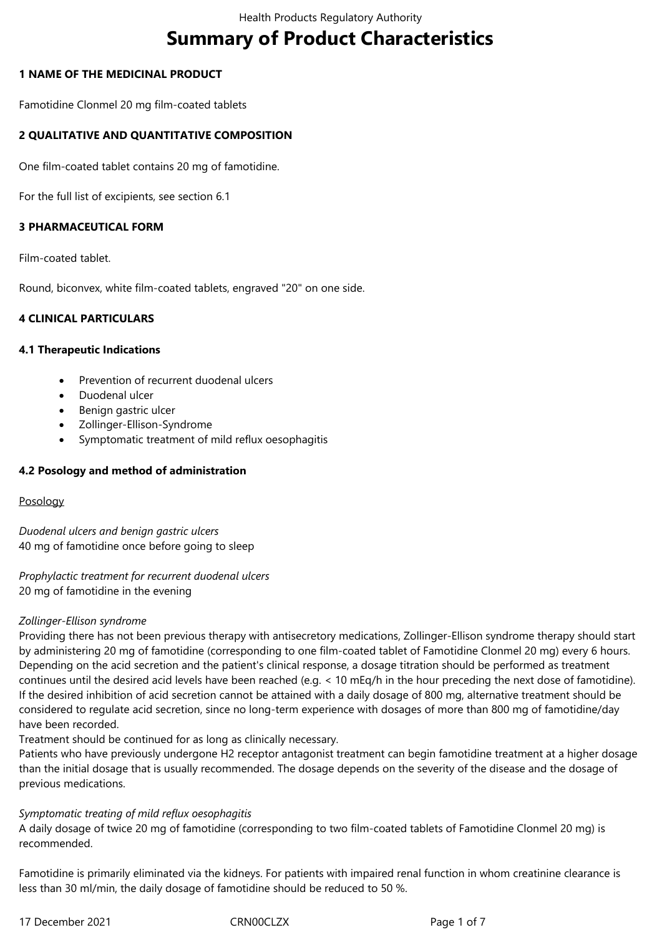# **Summary of Product Characteristics**

# **1 NAME OF THE MEDICINAL PRODUCT**

Famotidine Clonmel 20 mg film-coated tablets

# **2 QUALITATIVE AND QUANTITATIVE COMPOSITION**

One film-coated tablet contains 20 mg of famotidine.

For the full list of excipients, see section 6.1

# **3 PHARMACEUTICAL FORM**

Film-coated tablet.

Round, biconvex, white film-coated tablets, engraved "20" on one side.

## **4 CLINICAL PARTICULARS**

## **4.1 Therapeutic Indications**

- Prevention of recurrent duodenal ulcers
- Duodenal ulcer
- Benign gastric ulcer
- Zollinger-Ellison-Syndrome
- Symptomatic treatment of mild reflux oesophagitis

## **4.2 Posology and method of administration**

## Posology

*Duodenal ulcers and benign gastric ulcers* 40 mg of famotidine once before going to sleep

*Prophylactic treatment for recurrent duodenal ulcers* 20 mg of famotidine in the evening

## *Zollinger-Ellison syndrome*

Providing there has not been previous therapy with antisecretory medications, Zollinger-Ellison syndrome therapy should start by administering 20 mg of famotidine (corresponding to one film-coated tablet of Famotidine Clonmel 20 mg) every 6 hours. Depending on the acid secretion and the patient's clinical response, a dosage titration should be performed as treatment continues until the desired acid levels have been reached (e.g. < 10 mEq/h in the hour preceding the next dose of famotidine). If the desired inhibition of acid secretion cannot be attained with a daily dosage of 800 mg, alternative treatment should be considered to regulate acid secretion, since no long-term experience with dosages of more than 800 mg of famotidine/day have been recorded.

Treatment should be continued for as long as clinically necessary.

Patients who have previously undergone H2 receptor antagonist treatment can begin famotidine treatment at a higher dosage than the initial dosage that is usually recommended. The dosage depends on the severity of the disease and the dosage of previous medications.

## *Symptomatic treating of mild reflux oesophagitis*

A daily dosage of twice 20 mg of famotidine (corresponding to two film-coated tablets of Famotidine Clonmel 20 mg) is recommended.

Famotidine is primarily eliminated via the kidneys. For patients with impaired renal function in whom creatinine clearance is less than 30 ml/min, the daily dosage of famotidine should be reduced to 50 %.

17 December 2021 CRN00CLZX Page 1 of 7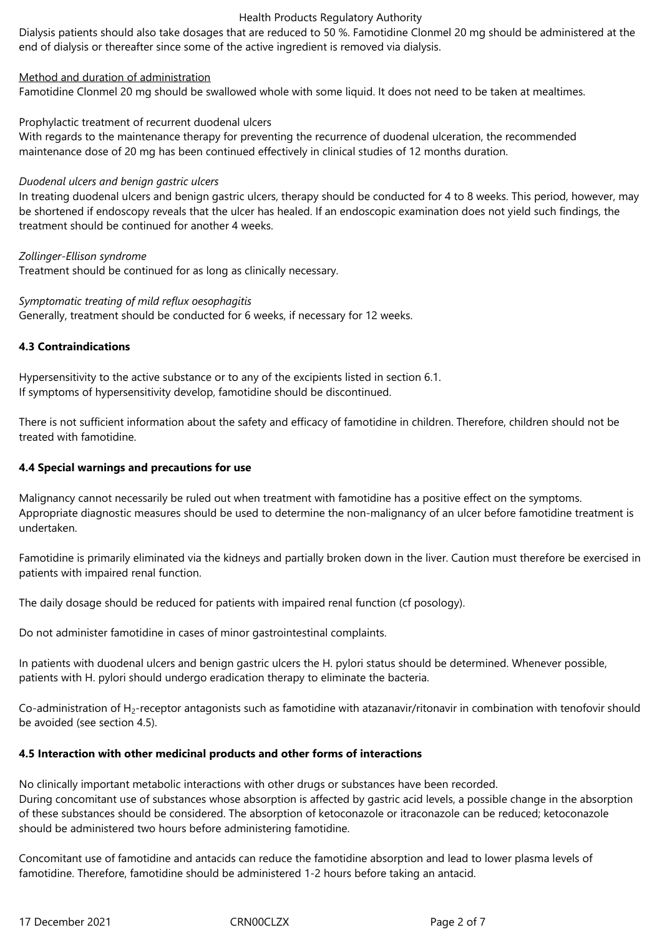Dialysis patients should also take dosages that are reduced to 50 %. Famotidine Clonmel 20 mg should be administered at the end of dialysis or thereafter since some of the active ingredient is removed via dialysis.

# Method and duration of administration

Famotidine Clonmel 20 mg should be swallowed whole with some liquid. It does not need to be taken at mealtimes.

## Prophylactic treatment of recurrent duodenal ulcers

With regards to the maintenance therapy for preventing the recurrence of duodenal ulceration, the recommended maintenance dose of 20 mg has been continued effectively in clinical studies of 12 months duration.

## *Duodenal ulcers and benign gastric ulcers*

In treating duodenal ulcers and benign gastric ulcers, therapy should be conducted for 4 to 8 weeks. This period, however, may be shortened if endoscopy reveals that the ulcer has healed. If an endoscopic examination does not yield such findings, the treatment should be continued for another 4 weeks.

## *Zollinger-Ellison syndrome*

Treatment should be continued for as long as clinically necessary.

## *Symptomatic treating of mild reflux oesophagitis*

Generally, treatment should be conducted for 6 weeks, if necessary for 12 weeks.

## **4.3 Contraindications**

Hypersensitivity to the active substance or to any of the excipients listed in section 6.1. If symptoms of hypersensitivity develop, famotidine should be discontinued.

There is not sufficient information about the safety and efficacy of famotidine in children. Therefore, children should not be treated with famotidine.

# **4.4 Special warnings and precautions for use**

Malignancy cannot necessarily be ruled out when treatment with famotidine has a positive effect on the symptoms. Appropriate diagnostic measures should be used to determine the non-malignancy of an ulcer before famotidine treatment is undertaken.

Famotidine is primarily eliminated via the kidneys and partially broken down in the liver. Caution must therefore be exercised in patients with impaired renal function.

The daily dosage should be reduced for patients with impaired renal function (cf posology).

Do not administer famotidine in cases of minor gastrointestinal complaints.

In patients with duodenal ulcers and benign gastric ulcers the H. pylori status should be determined. Whenever possible, patients with H. pylori should undergo eradication therapy to eliminate the bacteria.

Co-administration of H<sub>2</sub>-receptor antagonists such as famotidine with atazanavir/ritonavir in combination with tenofovir should be avoided (see section 4.5).

# **4.5 Interaction with other medicinal products and other forms of interactions**

No clinically important metabolic interactions with other drugs or substances have been recorded. During concomitant use of substances whose absorption is affected by gastric acid levels, a possible change in the absorption of these substances should be considered. The absorption of ketoconazole or itraconazole can be reduced; ketoconazole should be administered two hours before administering famotidine.

Concomitant use of famotidine and antacids can reduce the famotidine absorption and lead to lower plasma levels of famotidine. Therefore, famotidine should be administered 1-2 hours before taking an antacid.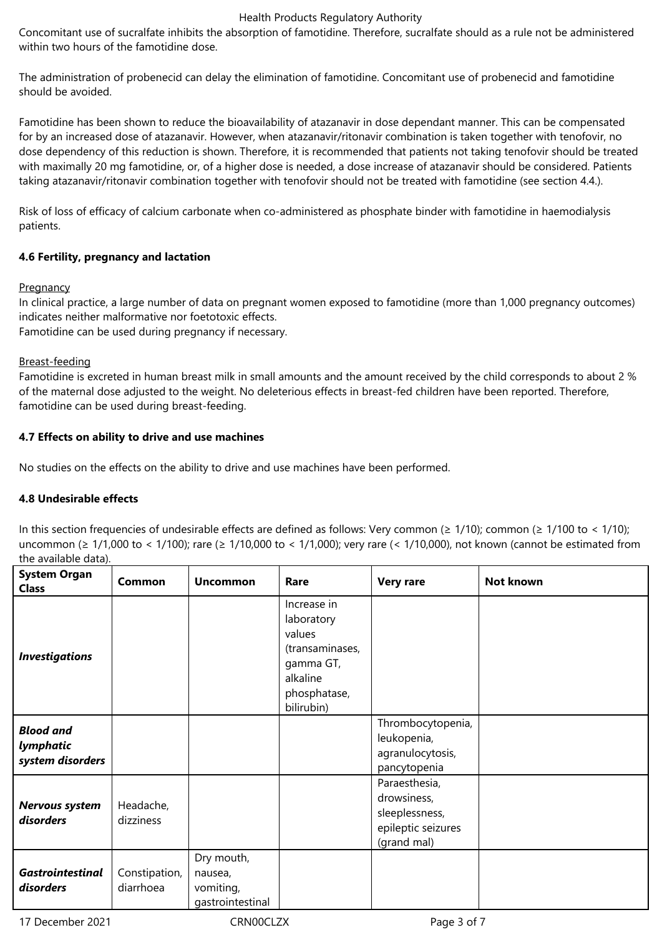Concomitant use of sucralfate inhibits the absorption of famotidine. Therefore, sucralfate should as a rule not be administered within two hours of the famotidine dose.

The administration of probenecid can delay the elimination of famotidine. Concomitant use of probenecid and famotidine should be avoided.

Famotidine has been shown to reduce the bioavailability of atazanavir in dose dependant manner. This can be compensated for by an increased dose of atazanavir. However, when atazanavir/ritonavir combination is taken together with tenofovir, no dose dependency of this reduction is shown. Therefore, it is recommended that patients not taking tenofovir should be treated with maximally 20 mg famotidine, or, of a higher dose is needed, a dose increase of atazanavir should be considered. Patients taking atazanavir/ritonavir combination together with tenofovir should not be treated with famotidine (see section 4.4.).

Risk of loss of efficacy of calcium carbonate when co-administered as phosphate binder with famotidine in haemodialysis patients.

# **4.6 Fertility, pregnancy and lactation**

## **Pregnancy**

In clinical practice, a large number of data on pregnant women exposed to famotidine (more than 1,000 pregnancy outcomes) indicates neither malformative nor foetotoxic effects.

Famotidine can be used during pregnancy if necessary.

## Breast-feeding

Famotidine is excreted in human breast milk in small amounts and the amount received by the child corresponds to about 2 % of the maternal dose adjusted to the weight. No deleterious effects in breast-fed children have been reported. Therefore, famotidine can be used during breast-feeding.

# **4.7 Effects on ability to drive and use machines**

No studies on the effects on the ability to drive and use machines have been performed.

# **4.8 Undesirable effects**

In this section frequencies of undesirable effects are defined as follows: Very common (≥ 1/10); common (≥ 1/100 to < 1/10); uncommon (≥ 1/1,000 to < 1/100); rare (≥ 1/10,000 to < 1/1,000); very rare (< 1/10,000), not known (cannot be estimated from the available data).

| <b>System Organ</b><br><b>Class</b>               | Common                     | <b>Uncommon</b>                                        | Rare                                                                                                          | <b>Very rare</b>                                                                    | Not known |
|---------------------------------------------------|----------------------------|--------------------------------------------------------|---------------------------------------------------------------------------------------------------------------|-------------------------------------------------------------------------------------|-----------|
| <b>Investigations</b>                             |                            |                                                        | Increase in<br>laboratory<br>values<br>(transaminases,<br>gamma GT,<br>alkaline<br>phosphatase,<br>bilirubin) |                                                                                     |           |
| <b>Blood and</b><br>lymphatic<br>system disorders |                            |                                                        |                                                                                                               | Thrombocytopenia,<br>leukopenia,<br>agranulocytosis,<br>pancytopenia                |           |
| Nervous system<br>disorders                       | Headache,<br>dizziness     |                                                        |                                                                                                               | Paraesthesia,<br>drowsiness,<br>sleeplessness,<br>epileptic seizures<br>(grand mal) |           |
| <b>Gastrointestinal</b><br>disorders              | Constipation,<br>diarrhoea | Dry mouth,<br>nausea,<br>vomiting,<br>gastrointestinal |                                                                                                               |                                                                                     |           |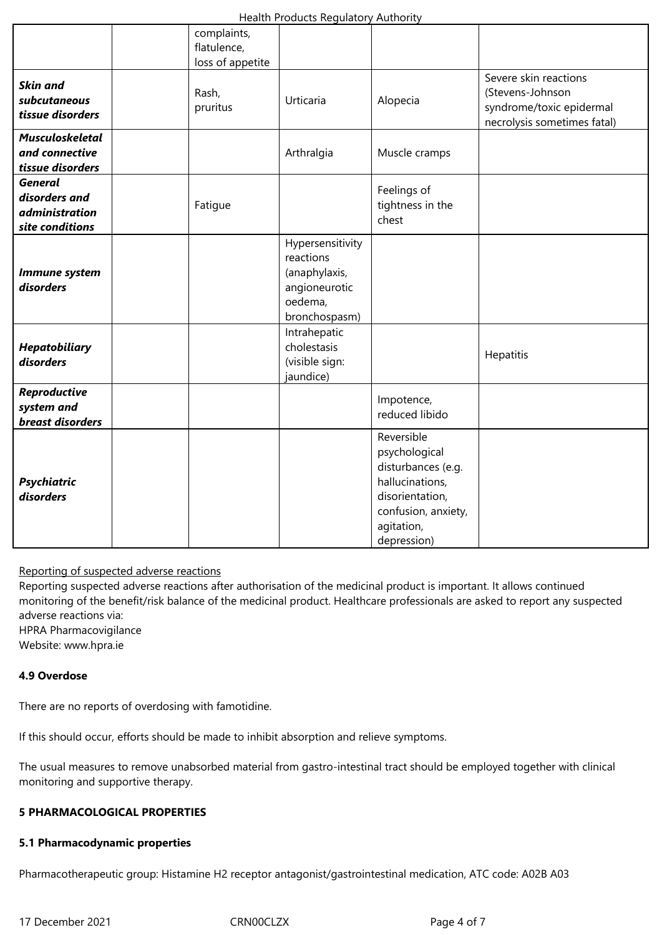|                                                                             | complaints,<br>flatulence,<br>loss of appetite |                                                                                             |                                                                                                                                             |                                                                                                      |
|-----------------------------------------------------------------------------|------------------------------------------------|---------------------------------------------------------------------------------------------|---------------------------------------------------------------------------------------------------------------------------------------------|------------------------------------------------------------------------------------------------------|
| <b>Skin and</b><br>subcutaneous<br>tissue disorders                         | Rash,<br>pruritus                              | Urticaria                                                                                   | Alopecia                                                                                                                                    | Severe skin reactions<br>(Stevens-Johnson<br>syndrome/toxic epidermal<br>necrolysis sometimes fatal) |
| <b>Musculoskeletal</b><br>and connective<br>tissue disorders                |                                                | Arthralgia                                                                                  | Muscle cramps                                                                                                                               |                                                                                                      |
| <b>General</b><br>disorders and<br><i>administration</i><br>site conditions | Fatigue                                        |                                                                                             | Feelings of<br>tightness in the<br>chest                                                                                                    |                                                                                                      |
| Immune system<br>disorders                                                  |                                                | Hypersensitivity<br>reactions<br>(anaphylaxis,<br>angioneurotic<br>oedema,<br>bronchospasm) |                                                                                                                                             |                                                                                                      |
| <b>Hepatobiliary</b><br>disorders                                           |                                                | Intrahepatic<br>cholestasis<br>(visible sign:<br>jaundice)                                  |                                                                                                                                             | Hepatitis                                                                                            |
| Reproductive<br>system and<br>breast disorders                              |                                                |                                                                                             | Impotence,<br>reduced libido                                                                                                                |                                                                                                      |
| <b>Psychiatric</b><br>disorders                                             |                                                |                                                                                             | Reversible<br>psychological<br>disturbances (e.g.<br>hallucinations,<br>disorientation,<br>confusion, anxiety,<br>agitation,<br>depression) |                                                                                                      |

Reporting of suspected adverse reactions

Reporting suspected adverse reactions after authorisation of the medicinal product is important. It allows continued monitoring of the benefit/risk balance of the medicinal product. Healthcare professionals are asked to report any suspected adverse reactions via:

HPRA Pharmacovigilance

Website: www.hpra.ie

# **4.9 Overdose**

There are no reports of overdosing with famotidine.

If this should occur, efforts should be made to inhibit absorption and relieve symptoms.

The usual measures to remove unabsorbed material from gastro-intestinal tract should be employed together with clinical monitoring and supportive therapy.

## **5 PHARMACOLOGICAL PROPERTIES**

## **5.1 Pharmacodynamic properties**

Pharmacotherapeutic group: Histamine H2 receptor antagonist/gastrointestinal medication, ATC code: A02B A03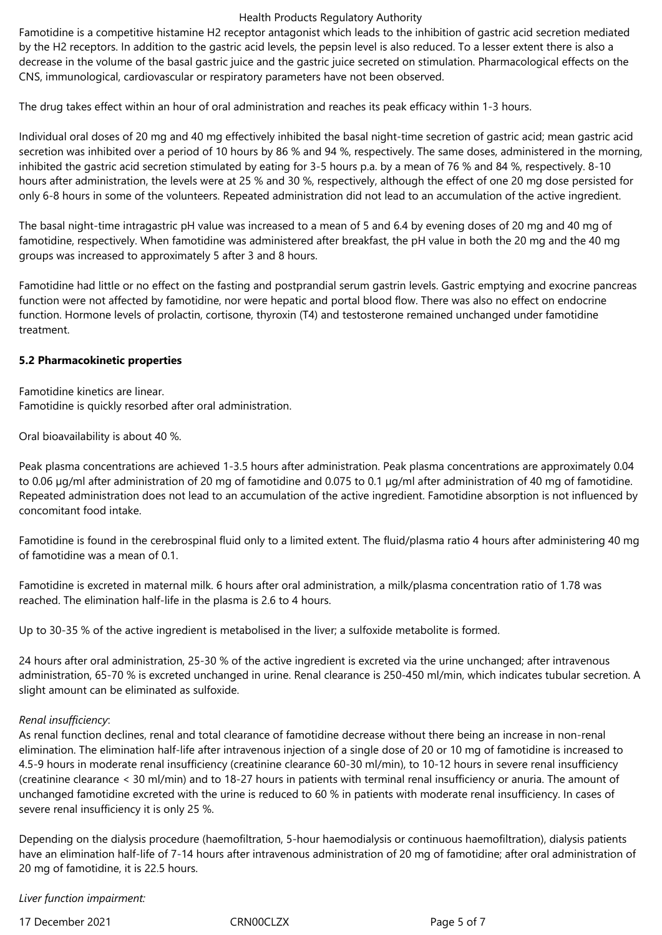Famotidine is a competitive histamine H2 receptor antagonist which leads to the inhibition of gastric acid secretion mediated by the H2 receptors. In addition to the gastric acid levels, the pepsin level is also reduced. To a lesser extent there is also a decrease in the volume of the basal gastric juice and the gastric juice secreted on stimulation. Pharmacological effects on the CNS, immunological, cardiovascular or respiratory parameters have not been observed.

The drug takes effect within an hour of oral administration and reaches its peak efficacy within 1-3 hours.

Individual oral doses of 20 mg and 40 mg effectively inhibited the basal night-time secretion of gastric acid; mean gastric acid secretion was inhibited over a period of 10 hours by 86 % and 94 %, respectively. The same doses, administered in the morning, inhibited the gastric acid secretion stimulated by eating for 3-5 hours p.a. by a mean of 76 % and 84 %, respectively. 8-10 hours after administration, the levels were at 25 % and 30 %, respectively, although the effect of one 20 mg dose persisted for only 6-8 hours in some of the volunteers. Repeated administration did not lead to an accumulation of the active ingredient.

The basal night-time intragastric pH value was increased to a mean of 5 and 6.4 by evening doses of 20 mg and 40 mg of famotidine, respectively. When famotidine was administered after breakfast, the pH value in both the 20 mg and the 40 mg groups was increased to approximately 5 after 3 and 8 hours.

Famotidine had little or no effect on the fasting and postprandial serum gastrin levels. Gastric emptying and exocrine pancreas function were not affected by famotidine, nor were hepatic and portal blood flow. There was also no effect on endocrine function. Hormone levels of prolactin, cortisone, thyroxin (T4) and testosterone remained unchanged under famotidine treatment.

## **5.2 Pharmacokinetic properties**

Famotidine kinetics are linear. Famotidine is quickly resorbed after oral administration.

Oral bioavailability is about 40 %.

Peak plasma concentrations are achieved 1-3.5 hours after administration. Peak plasma concentrations are approximately 0.04 to 0.06 µg/ml after administration of 20 mg of famotidine and 0.075 to 0.1 µg/ml after administration of 40 mg of famotidine. Repeated administration does not lead to an accumulation of the active ingredient. Famotidine absorption is not influenced by concomitant food intake.

Famotidine is found in the cerebrospinal fluid only to a limited extent. The fluid/plasma ratio 4 hours after administering 40 mg of famotidine was a mean of 0.1.

Famotidine is excreted in maternal milk. 6 hours after oral administration, a milk/plasma concentration ratio of 1.78 was reached. The elimination half-life in the plasma is 2.6 to 4 hours.

Up to 30-35 % of the active ingredient is metabolised in the liver; a sulfoxide metabolite is formed.

24 hours after oral administration, 25-30 % of the active ingredient is excreted via the urine unchanged; after intravenous administration, 65-70 % is excreted unchanged in urine. Renal clearance is 250-450 ml/min, which indicates tubular secretion. A slight amount can be eliminated as sulfoxide.

## *Renal insufficiency*:

As renal function declines, renal and total clearance of famotidine decrease without there being an increase in non-renal elimination. The elimination half-life after intravenous injection of a single dose of 20 or 10 mg of famotidine is increased to 4.5-9 hours in moderate renal insufficiency (creatinine clearance 60-30 ml/min), to 10-12 hours in severe renal insufficiency (creatinine clearance < 30 ml/min) and to 18-27 hours in patients with terminal renal insufficiency or anuria. The amount of unchanged famotidine excreted with the urine is reduced to 60 % in patients with moderate renal insufficiency. In cases of severe renal insufficiency it is only 25 %.

Depending on the dialysis procedure (haemofiltration, 5-hour haemodialysis or continuous haemofiltration), dialysis patients have an elimination half-life of 7-14 hours after intravenous administration of 20 mg of famotidine; after oral administration of 20 mg of famotidine, it is 22.5 hours.

*Liver function impairment:*

17 December 2021 CRN00CLZX Page 5 of 7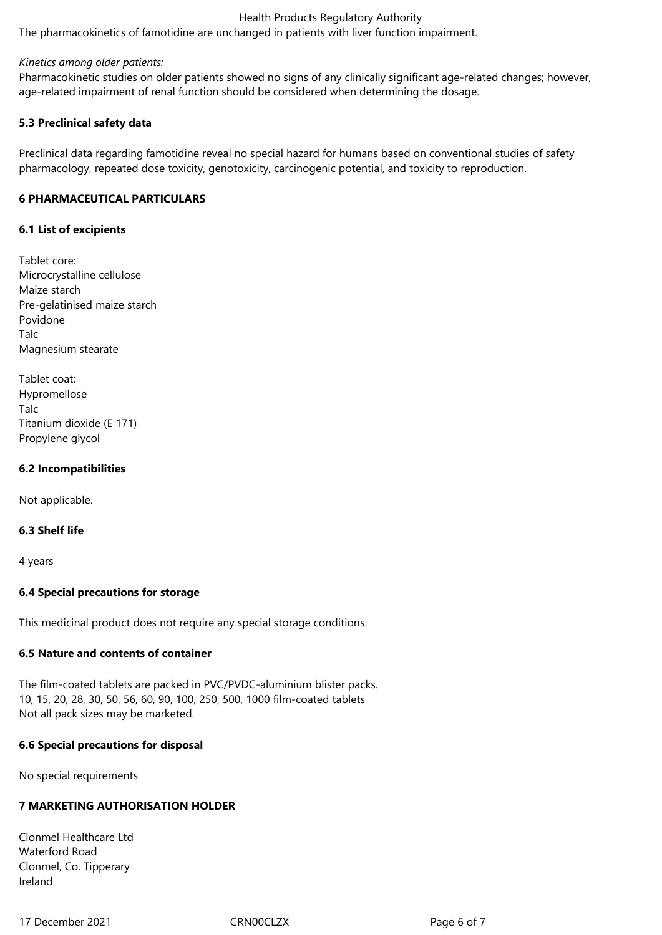The pharmacokinetics of famotidine are unchanged in patients with liver function impairment.

## *Kinetics among older patients:*

Pharmacokinetic studies on older patients showed no signs of any clinically significant age-related changes; however, age-related impairment of renal function should be considered when determining the dosage.

## **5.3 Preclinical safety data**

Preclinical data regarding famotidine reveal no special hazard for humans based on conventional studies of safety pharmacology, repeated dose toxicity, genotoxicity, carcinogenic potential, and toxicity to reproduction.

## **6 PHARMACEUTICAL PARTICULARS**

## **6.1 List of excipients**

Tablet core: Microcrystalline cellulose Maize starch Pre-gelatinised maize starch Povidone Talc Magnesium stearate

| Tablet coat:             |
|--------------------------|
| Hypromellose             |
| Talc                     |
| Titanium dioxide (E 171) |
| Propylene glycol         |

## **6.2 Incompatibilities**

Not applicable.

## **6.3 Shelf life**

4 years

# **6.4 Special precautions for storage**

This medicinal product does not require any special storage conditions.

## **6.5 Nature and contents of container**

The film-coated tablets are packed in PVC/PVDC-aluminium blister packs. 10, 15, 20, 28, 30, 50, 56, 60, 90, 100, 250, 500, 1000 film-coated tablets Not all pack sizes may be marketed.

## **6.6 Special precautions for disposal**

No special requirements

# **7 MARKETING AUTHORISATION HOLDER**

Clonmel Healthcare Ltd Waterford Road Clonmel, Co. Tipperary Ireland